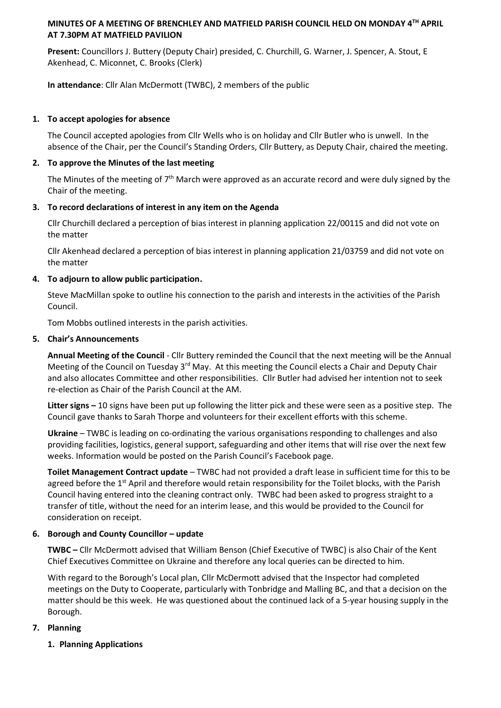## **MINUTES OF A MEETING OF BRENCHLEY AND MATFIELD PARISH COUNCIL HELD ON MONDAY 4TH APRIL AT 7.30PM AT MATFIELD PAVILION**

**Present:** Councillors J. Buttery (Deputy Chair) presided, C. Churchill, G. Warner, J. Spencer, A. Stout, E Akenhead, C. Miconnet, C. Brooks (Clerk)

**In attendance**: Cllr Alan McDermott (TWBC), 2 members of the public

# **1. To accept apologies for absence**

The Council accepted apologies from Cllr Wells who is on holiday and Cllr Butler who is unwell. In the absence of the Chair, per the Council's Standing Orders, Cllr Buttery, as Deputy Chair, chaired the meeting.

# **2. To approve the Minutes of the last meeting**

The Minutes of the meeting of  $7<sup>th</sup>$  March were approved as an accurate record and were duly signed by the Chair of the meeting.

# **3. To record declarations of interest in any item on the Agenda**

Cllr Churchill declared a perception of bias interest in planning application 22/00115 and did not vote on the matter

Cllr Akenhead declared a perception of bias interest in planning application 21/03759 and did not vote on the matter

# **4. To adjourn to allow public participation.**

Steve MacMillan spoke to outline his connection to the parish and interests in the activities of the Parish Council.

Tom Mobbs outlined interests in the parish activities.

# **5. Chair's Announcements**

**Annual Meeting of the Council** - Cllr Buttery reminded the Council that the next meeting will be the Annual Meeting of the Council on Tuesday 3<sup>rd</sup> May. At this meeting the Council elects a Chair and Deputy Chair and also allocates Committee and other responsibilities. Cllr Butler had advised her intention not to seek re-election as Chair of the Parish Council at the AM.

**Litter signs –** 10 signs have been put up following the litter pick and these were seen as a positive step. The Council gave thanks to Sarah Thorpe and volunteers for their excellent efforts with this scheme.

**Ukraine** – TWBC is leading on co-ordinating the various organisations responding to challenges and also providing facilities, logistics, general support, safeguarding and other items that will rise over the next few weeks. Information would be posted on the Parish Council's Facebook page.

**Toilet Management Contract update** – TWBC had not provided a draft lease in sufficient time for this to be agreed before the  $1<sup>st</sup>$  April and therefore would retain responsibility for the Toilet blocks, with the Parish Council having entered into the cleaning contract only. TWBC had been asked to progress straight to a transfer of title, without the need for an interim lease, and this would be provided to the Council for consideration on receipt.

# **6. Borough and County Councillor – update**

**TWBC –** Cllr McDermott advised that William Benson (Chief Executive of TWBC) is also Chair of the Kent Chief Executives Committee on Ukraine and therefore any local queries can be directed to him.

With regard to the Borough's Local plan, Cllr McDermott advised that the Inspector had completed meetings on the Duty to Cooperate, particularly with Tonbridge and Malling BC, and that a decision on the matter should be this week. He was questioned about the continued lack of a 5-year housing supply in the Borough.

# **7. Planning**

**1. Planning Applications**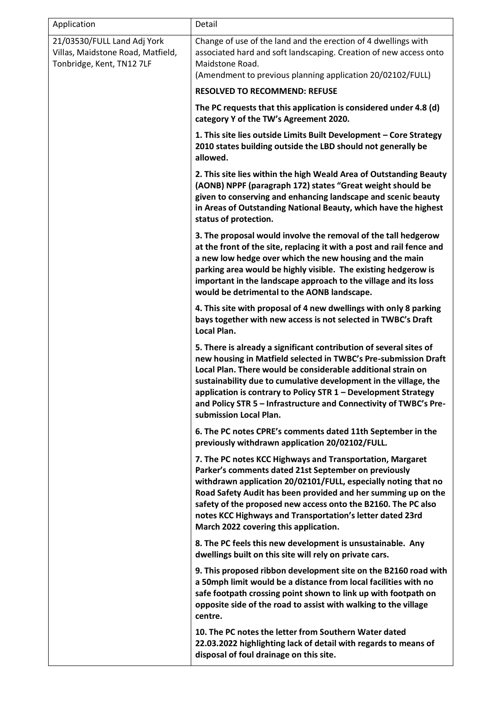| Application                                                                                   | Detail                                                                                                                                                                                                                                                                                                                                                                                                                                     |
|-----------------------------------------------------------------------------------------------|--------------------------------------------------------------------------------------------------------------------------------------------------------------------------------------------------------------------------------------------------------------------------------------------------------------------------------------------------------------------------------------------------------------------------------------------|
| 21/03530/FULL Land Adj York<br>Villas, Maidstone Road, Matfield,<br>Tonbridge, Kent, TN12 7LF | Change of use of the land and the erection of 4 dwellings with<br>associated hard and soft landscaping. Creation of new access onto<br>Maidstone Road.<br>(Amendment to previous planning application 20/02102/FULL)                                                                                                                                                                                                                       |
|                                                                                               | <b>RESOLVED TO RECOMMEND: REFUSE</b>                                                                                                                                                                                                                                                                                                                                                                                                       |
|                                                                                               | The PC requests that this application is considered under 4.8 (d)<br>category Y of the TW's Agreement 2020.                                                                                                                                                                                                                                                                                                                                |
|                                                                                               | 1. This site lies outside Limits Built Development - Core Strategy<br>2010 states building outside the LBD should not generally be<br>allowed.                                                                                                                                                                                                                                                                                             |
|                                                                                               | 2. This site lies within the high Weald Area of Outstanding Beauty<br>(AONB) NPPF (paragraph 172) states "Great weight should be<br>given to conserving and enhancing landscape and scenic beauty<br>in Areas of Outstanding National Beauty, which have the highest<br>status of protection.                                                                                                                                              |
|                                                                                               | 3. The proposal would involve the removal of the tall hedgerow<br>at the front of the site, replacing it with a post and rail fence and<br>a new low hedge over which the new housing and the main<br>parking area would be highly visible. The existing hedgerow is<br>important in the landscape approach to the village and its loss<br>would be detrimental to the AONB landscape.                                                     |
|                                                                                               | 4. This site with proposal of 4 new dwellings with only 8 parking<br>bays together with new access is not selected in TWBC's Draft<br>Local Plan.                                                                                                                                                                                                                                                                                          |
|                                                                                               | 5. There is already a significant contribution of several sites of<br>new housing in Matfield selected in TWBC's Pre-submission Draft<br>Local Plan. There would be considerable additional strain on<br>sustainability due to cumulative development in the village, the<br>application is contrary to Policy STR 1 - Development Strategy<br>and Policy STR 5 - Infrastructure and Connectivity of TWBC's Pre-<br>submission Local Plan. |
|                                                                                               | 6. The PC notes CPRE's comments dated 11th September in the<br>previously withdrawn application 20/02102/FULL.                                                                                                                                                                                                                                                                                                                             |
|                                                                                               | 7. The PC notes KCC Highways and Transportation, Margaret<br>Parker's comments dated 21st September on previously<br>withdrawn application 20/02101/FULL, especially noting that no<br>Road Safety Audit has been provided and her summing up on the<br>safety of the proposed new access onto the B2160. The PC also<br>notes KCC Highways and Transportation's letter dated 23rd<br>March 2022 covering this application.                |
|                                                                                               | 8. The PC feels this new development is unsustainable. Any<br>dwellings built on this site will rely on private cars.                                                                                                                                                                                                                                                                                                                      |
|                                                                                               | 9. This proposed ribbon development site on the B2160 road with<br>a 50mph limit would be a distance from local facilities with no<br>safe footpath crossing point shown to link up with footpath on<br>opposite side of the road to assist with walking to the village<br>centre.                                                                                                                                                         |
|                                                                                               | 10. The PC notes the letter from Southern Water dated<br>22.03.2022 highlighting lack of detail with regards to means of<br>disposal of foul drainage on this site.                                                                                                                                                                                                                                                                        |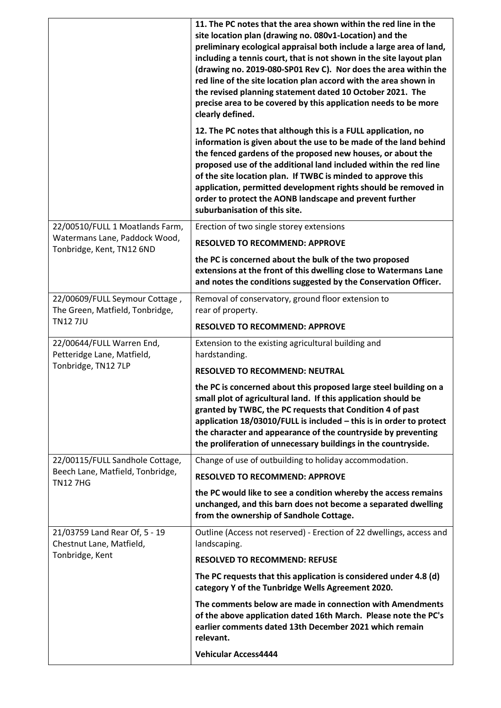| 12. The PC notes that although this is a FULL application, no<br>information is given about the use to be made of the land behind<br>the fenced gardens of the proposed new houses, or about the<br>proposed use of the additional land included within the red line |
|----------------------------------------------------------------------------------------------------------------------------------------------------------------------------------------------------------------------------------------------------------------------|
| of the site location plan. If TWBC is minded to approve this<br>application, permitted development rights should be removed in<br>order to protect the AONB landscape and prevent further                                                                            |
|                                                                                                                                                                                                                                                                      |
|                                                                                                                                                                                                                                                                      |
| extensions at the front of this dwelling close to Watermans Lane<br>and notes the conditions suggested by the Conservation Officer.                                                                                                                                  |
|                                                                                                                                                                                                                                                                      |
|                                                                                                                                                                                                                                                                      |
|                                                                                                                                                                                                                                                                      |
|                                                                                                                                                                                                                                                                      |
|                                                                                                                                                                                                                                                                      |
| the PC is concerned about this proposed large steel building on a<br>small plot of agricultural land. If this application should be                                                                                                                                  |
| granted by TWBC, the PC requests that Condition 4 of past<br>application 18/03010/FULL is included - this is in order to protect<br>the character and appearance of the countryside by preventing<br>the proliferation of unnecessary buildings in the countryside.  |
|                                                                                                                                                                                                                                                                      |
|                                                                                                                                                                                                                                                                      |
| the PC would like to see a condition whereby the access remains<br>unchanged, and this barn does not become a separated dwelling                                                                                                                                     |
| Outline (Access not reserved) - Erection of 22 dwellings, access and                                                                                                                                                                                                 |
|                                                                                                                                                                                                                                                                      |
| The PC requests that this application is considered under 4.8 (d)                                                                                                                                                                                                    |
| The comments below are made in connection with Amendments<br>of the above application dated 16th March. Please note the PC's<br>earlier comments dated 13th December 2021 which remain                                                                               |
|                                                                                                                                                                                                                                                                      |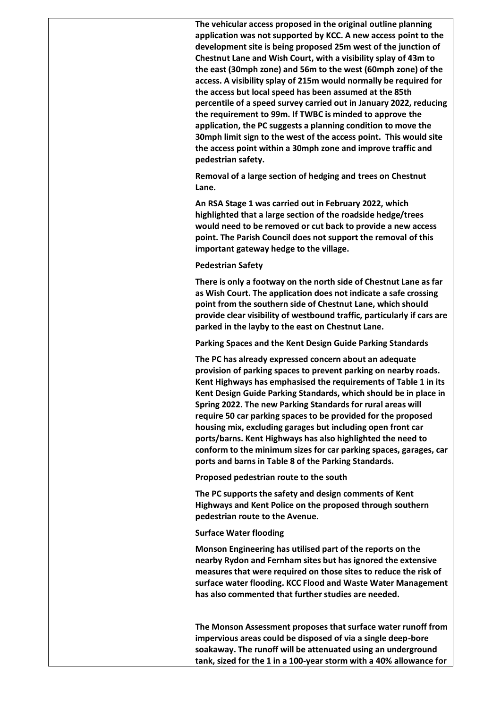**The vehicular access proposed in the original outline planning application was not supported by KCC. A new access point to the development site is being proposed 25m west of the junction of Chestnut Lane and Wish Court, with a visibility splay of 43m to the east (30mph zone) and 56m to the west (60mph zone) of the access. A visibility splay of 215m would normally be required for the access but local speed has been assumed at the 85th percentile of a speed survey carried out in January 2022, reducing the requirement to 99m. If TWBC is minded to approve the application, the PC suggests a planning condition to move the 30mph limit sign to the west of the access point. This would site the access point within a 30mph zone and improve traffic and pedestrian safety.** 

**Removal of a large section of hedging and trees on Chestnut Lane.**

**An RSA Stage 1 was carried out in February 2022, which highlighted that a large section of the roadside hedge/trees would need to be removed or cut back to provide a new access point. The Parish Council does not support the removal of this important gateway hedge to the village.** 

#### **Pedestrian Safety**

**There is only a footway on the north side of Chestnut Lane as far as Wish Court. The application does not indicate a safe crossing point from the southern side of Chestnut Lane, which should provide clear visibility of westbound traffic, particularly if cars are parked in the layby to the east on Chestnut Lane.**

**Parking Spaces and the Kent Design Guide Parking Standards**

**The PC has already expressed concern about an adequate provision of parking spaces to prevent parking on nearby roads. Kent Highways has emphasised the requirements of Table 1 in its Kent Design Guide Parking Standards, which should be in place in Spring 2022. The new Parking Standards for rural areas will require 50 car parking spaces to be provided for the proposed housing mix, excluding garages but including open front car ports/barns. Kent Highways has also highlighted the need to conform to the minimum sizes for car parking spaces, garages, car ports and barns in Table 8 of the Parking Standards.**

**Proposed pedestrian route to the south**

**The PC supports the safety and design comments of Kent Highways and Kent Police on the proposed through southern pedestrian route to the Avenue.** 

#### **Surface Water flooding**

**Monson Engineering has utilised part of the reports on the nearby Rydon and Fernham sites but has ignored the extensive measures that were required on those sites to reduce the risk of surface water flooding. KCC Flood and Waste Water Management has also commented that further studies are needed.**

**The Monson Assessment proposes that surface water runoff from impervious areas could be disposed of via a single deep-bore soakaway. The runoff will be attenuated using an underground tank, sized for the 1 in a 100-year storm with a 40% allowance for**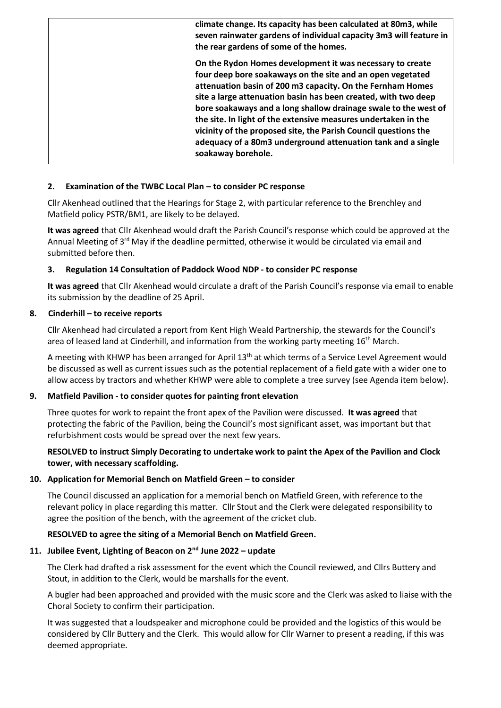| climate change. Its capacity has been calculated at 80m3, while<br>seven rainwater gardens of individual capacity 3m3 will feature in<br>the rear gardens of some of the homes.                                                                                                                                                                                                                                                                                                                                                                       |
|-------------------------------------------------------------------------------------------------------------------------------------------------------------------------------------------------------------------------------------------------------------------------------------------------------------------------------------------------------------------------------------------------------------------------------------------------------------------------------------------------------------------------------------------------------|
| On the Rydon Homes development it was necessary to create<br>four deep bore soakaways on the site and an open vegetated<br>attenuation basin of 200 m3 capacity. On the Fernham Homes<br>site a large attenuation basin has been created, with two deep<br>bore soakaways and a long shallow drainage swale to the west of<br>the site. In light of the extensive measures undertaken in the<br>vicinity of the proposed site, the Parish Council questions the<br>adequacy of a 80m3 underground attenuation tank and a single<br>soakaway borehole. |

#### **2. Examination of the TWBC Local Plan – to consider PC response**

Cllr Akenhead outlined that the Hearings for Stage 2, with particular reference to the Brenchley and Matfield policy PSTR/BM1, are likely to be delayed.

**It was agreed** that Cllr Akenhead would draft the Parish Council's response which could be approved at the Annual Meeting of 3<sup>rd</sup> May if the deadline permitted, otherwise it would be circulated via email and submitted before then.

#### **3. Regulation 14 Consultation of Paddock Wood NDP - to consider PC response**

**It was agreed** that Cllr Akenhead would circulate a draft of the Parish Council's response via email to enable its submission by the deadline of 25 April.

#### **8. Cinderhill – to receive reports**

Cllr Akenhead had circulated a report from Kent High Weald Partnership, the stewards for the Council's area of leased land at Cinderhill, and information from the working party meeting  $16<sup>th</sup>$  March.

A meeting with KHWP has been arranged for April 13<sup>th</sup> at which terms of a Service Level Agreement would be discussed as well as current issues such as the potential replacement of a field gate with a wider one to allow access by tractors and whether KHWP were able to complete a tree survey (see Agenda item below).

#### **9. Matfield Pavilion - to consider quotes for painting front elevation**

Three quotes for work to repaint the front apex of the Pavilion were discussed. **It was agreed** that protecting the fabric of the Pavilion, being the Council's most significant asset, was important but that refurbishment costs would be spread over the next few years.

## **RESOLVED to instruct Simply Decorating to undertake work to paint the Apex of the Pavilion and Clock tower, with necessary scaffolding.**

## **10. Application for Memorial Bench on Matfield Green – to consider**

The Council discussed an application for a memorial bench on Matfield Green, with reference to the relevant policy in place regarding this matter. Cllr Stout and the Clerk were delegated responsibility to agree the position of the bench, with the agreement of the cricket club.

#### **RESOLVED to agree the siting of a Memorial Bench on Matfield Green.**

# **11. Jubilee Event, Lighting of Beacon on 2nd June 2022 – update**

The Clerk had drafted a risk assessment for the event which the Council reviewed, and Cllrs Buttery and Stout, in addition to the Clerk, would be marshalls for the event.

A bugler had been approached and provided with the music score and the Clerk was asked to liaise with the Choral Society to confirm their participation.

It was suggested that a loudspeaker and microphone could be provided and the logistics of this would be considered by Cllr Buttery and the Clerk. This would allow for Cllr Warner to present a reading, if this was deemed appropriate.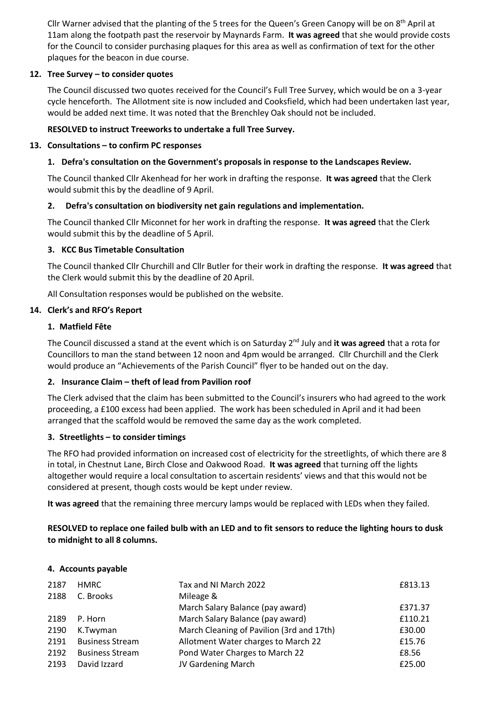Cllr Warner advised that the planting of the 5 trees for the Queen's Green Canopy will be on 8<sup>th</sup> April at 11am along the footpath past the reservoir by Maynards Farm. **It was agreed** that she would provide costs for the Council to consider purchasing plaques for this area as well as confirmation of text for the other plaques for the beacon in due course.

## **12. Tree Survey – to consider quotes**

The Council discussed two quotes received for the Council's Full Tree Survey, which would be on a 3-year cycle henceforth. The Allotment site is now included and Cooksfield, which had been undertaken last year, would be added next time. It was noted that the Brenchley Oak should not be included.

#### **RESOLVED to instruct Treeworks to undertake a full Tree Survey.**

#### **13. Consultations – to confirm PC responses**

### **1. Defra's consultation on the Government's proposals in response to the Landscapes Review.**

The Council thanked Cllr Akenhead for her work in drafting the response. **It was agreed** that the Clerk would submit this by the deadline of 9 April.

#### **2. Defra's consultation on biodiversity net gain regulations and implementation.**

The Council thanked Cllr Miconnet for her work in drafting the response. **It was agreed** that the Clerk would submit this by the deadline of 5 April.

#### **3. KCC Bus Timetable Consultation**

The Council thanked Cllr Churchill and Cllr Butler for their work in drafting the response. **It was agreed** that the Clerk would submit this by the deadline of 20 April.

All Consultation responses would be published on the website.

#### **14. Clerk's and RFO's Report**

#### **1. Matfield Fête**

The Council discussed a stand at the event which is on Saturday 2nd July and **it was agreed** that a rota for Councillors to man the stand between 12 noon and 4pm would be arranged. Cllr Churchill and the Clerk would produce an "Achievements of the Parish Council" flyer to be handed out on the day.

#### **2. Insurance Claim – theft of lead from Pavilion roof**

The Clerk advised that the claim has been submitted to the Council's insurers who had agreed to the work proceeding, a £100 excess had been applied. The work has been scheduled in April and it had been arranged that the scaffold would be removed the same day as the work completed.

## **3. Streetlights – to consider timings**

The RFO had provided information on increased cost of electricity for the streetlights, of which there are 8 in total, in Chestnut Lane, Birch Close and Oakwood Road. **It was agreed** that turning off the lights altogether would require a local consultation to ascertain residents' views and that this would not be considered at present, though costs would be kept under review.

**It was agreed** that the remaining three mercury lamps would be replaced with LEDs when they failed.

# **RESOLVED to replace one failed bulb with an LED and to fit sensors to reduce the lighting hours to dusk to midnight to all 8 columns.**

#### **4. Accounts payable**

| 2187 | <b>HMRC</b>            | Tax and NI March 2022                     | £813.13 |
|------|------------------------|-------------------------------------------|---------|
| 2188 | C. Brooks              | Mileage &                                 |         |
|      |                        | March Salary Balance (pay award)          | £371.37 |
| 2189 | P. Horn                | March Salary Balance (pay award)          | £110.21 |
| 2190 | K.Twyman               | March Cleaning of Pavilion (3rd and 17th) | £30.00  |
| 2191 | <b>Business Stream</b> | Allotment Water charges to March 22       | £15.76  |
| 2192 | <b>Business Stream</b> | Pond Water Charges to March 22            | £8.56   |
| 2193 | David Izzard           | JV Gardening March                        | £25.00  |